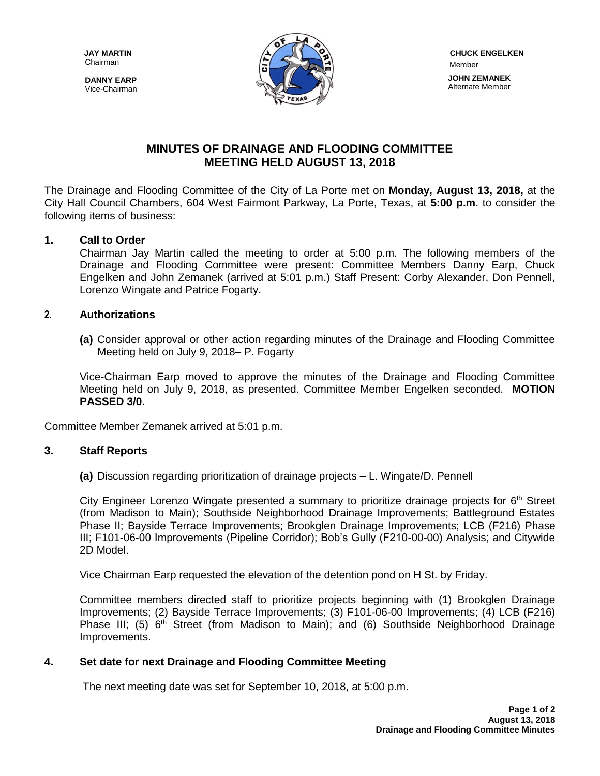Chairman

**DANNY EARP** Vice-Chairman



## **MINUTES OF DRAINAGE AND FLOODING COMMITTEE MEETING HELD AUGUST 13, 2018**

The Drainage and Flooding Committee of the City of La Porte met on **Monday, August 13, 2018,** at the City Hall Council Chambers, 604 West Fairmont Parkway, La Porte, Texas, at **5:00 p.m**. to consider the following items of business:

## **1. Call to Order**

Chairman Jay Martin called the meeting to order at 5:00 p.m. The following members of the Drainage and Flooding Committee were present: Committee Members Danny Earp, Chuck Engelken and John Zemanek (arrived at 5:01 p.m.) Staff Present: Corby Alexander, Don Pennell, Lorenzo Wingate and Patrice Fogarty.

### **2. Authorizations**

**(a)** Consider approval or other action regarding minutes of the Drainage and Flooding Committee Meeting held on July 9, 2018– P. Fogarty

Vice-Chairman Earp moved to approve the minutes of the Drainage and Flooding Committee Meeting held on July 9, 2018, as presented. Committee Member Engelken seconded. **MOTION PASSED 3/0.**

Committee Member Zemanek arrived at 5:01 p.m.

#### **3. Staff Reports**

**(a)** Discussion regarding prioritization of drainage projects – L. Wingate/D. Pennell

City Engineer Lorenzo Wingate presented a summary to prioritize drainage projects for  $6<sup>th</sup>$  Street (from Madison to Main); Southside Neighborhood Drainage Improvements; Battleground Estates Phase II; Bayside Terrace Improvements; Brookglen Drainage Improvements; LCB (F216) Phase III; F101-06-00 Improvements (Pipeline Corridor); Bob's Gully (F210-00-00) Analysis; and Citywide 2D Model.

Vice Chairman Earp requested the elevation of the detention pond on H St. by Friday.

Committee members directed staff to prioritize projects beginning with (1) Brookglen Drainage Improvements; (2) Bayside Terrace Improvements; (3) F101-06-00 Improvements; (4) LCB (F216) Phase III; (5)  $6<sup>th</sup>$  Street (from Madison to Main); and (6) Southside Neighborhood Drainage Improvements.

#### **4. Set date for next Drainage and Flooding Committee Meeting**

The next meeting date was set for September 10, 2018, at 5:00 p.m.